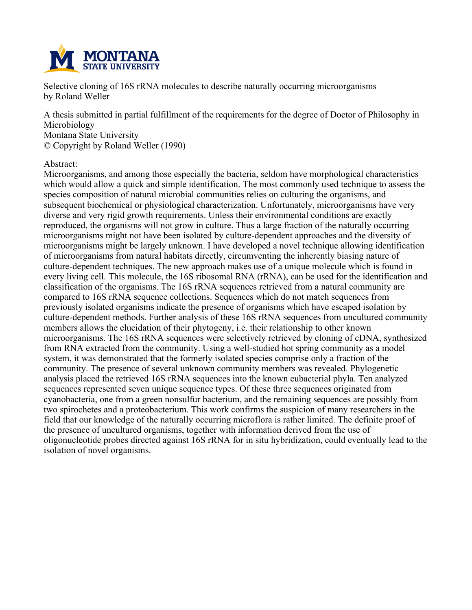

**Selective cloning of 16S rRNA molecules to describe naturally occurring microorganisms by Roland Weller**

**A thesis submitted in partial fulfillment of the requirements for the degree of Doctor of Philosophy in Microbiology Montana State University © Copyright by Roland Weller (1990)**

### **Abstract:**

**Microorganisms, and among those especially the bacteria, seldom have morphological characteristics which would allow a quick and simple identification. The most commonly used technique to assess the species composition of natural microbial communities relies on culturing the organisms, and subsequent biochemical or physiological characterization. Unfortunately, microorganisms have very diverse and very rigid growth requirements. Unless their environmental conditions are exactly reproduced, the organisms will not grow in culture. Thus a large fraction of the naturally occurring microorganisms might not have been isolated by culture-dependent approaches and the diversity of microorganisms might be largely unknown. I have developed a novel technique allowing identification of microorganisms from natural habitats directly, circumventing the inherently biasing nature of culture-dependent techniques. The new approach makes use of a unique molecule which is found in every living cell. This molecule, the 16S ribosomal RNA (rRNA), can be used for the identification and classification of the organisms. The 16S rRNA sequences retrieved from a natural community are compared to 16S rRNA sequence collections. Sequences which do not match sequences from previously isolated organisms indicate the presence of organisms which have escaped isolation by culture-dependent methods. Further analysis of these 16S rRNA sequences from uncultured community members allows the elucidation of their phytogeny, i.e. their relationship to other known microorganisms. The 16S rRNA sequences were selectively retrieved by cloning of cDNA, synthesized from RNA extracted from the community. Using a well-studied hot spring community as a model system, it was demonstrated that the formerly isolated species comprise only a fraction of the community. The presence of several unknown community members was revealed. Phylogenetic analysis placed the retrieved 16S rRNA sequences into the known eubacterial phyla. Ten analyzed sequences represented seven unique sequence types. Of these three sequences originated from cyanobacteria, one from a green nonsulfur bacterium, and the remaining sequences are possibly from two spirochetes and a proteobacterium. This work confirms the suspicion of many researchers in the field that our knowledge of the naturally occurring microflora is rather limited. The definite proof of the presence of uncultured organisms, together with information derived from the use of oligonucleotide probes directed against 16S rRNA for in situ hybridization, could eventually lead to the isolation of novel organisms.**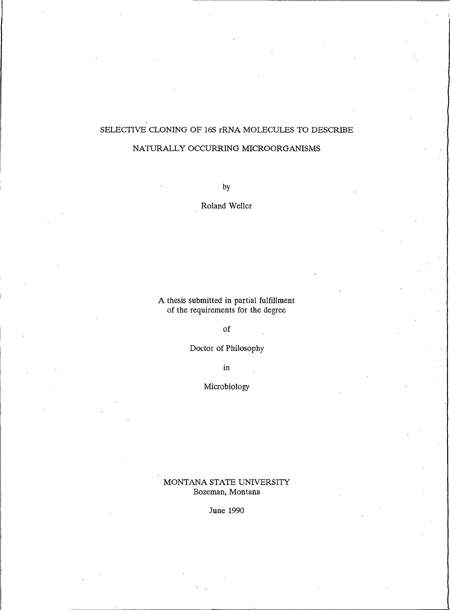## SELECTIVE CLONING OF 16S rRNA MOLECULES TO DESCRIBE

## NATURALLY OCCURRING MICROORGANISMS

by

Roland Weller

A thesis submitted in partial fulfillment<br>of the requirements for the degree

of

Doctor of Philosophy

 $\,$  in

Microbiology

MONTANA STATE UNIVERSITY Bozeman, Montana

June 1990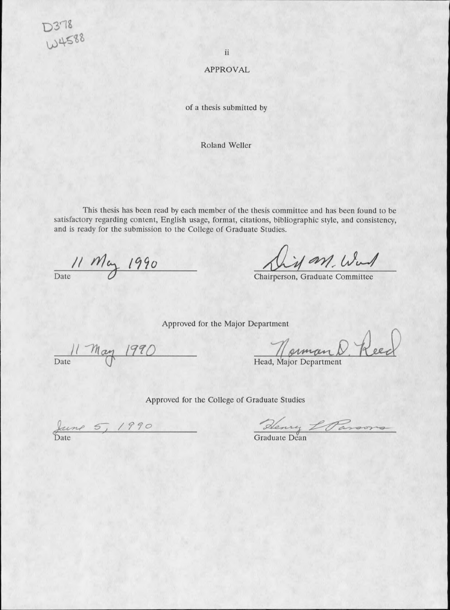$2378$ W4588

ii

#### **APPROVAL**

of a thesis submitted by

Roland Weller

This thesis has been read by each member of the thesis committee and has been found to be satisfactory regarding content, English usage, format, citations, bibliographic style, and consistency, and is ready for the submission to the College of Graduate Studies.

11 May 1990

his an Wad

Chairperson, Graduate Committee

Approved for the Major Department

Date May 1990

Head, Major Department

Approved for the College of Graduate Studies

June 5, 1990

Henry L Parsons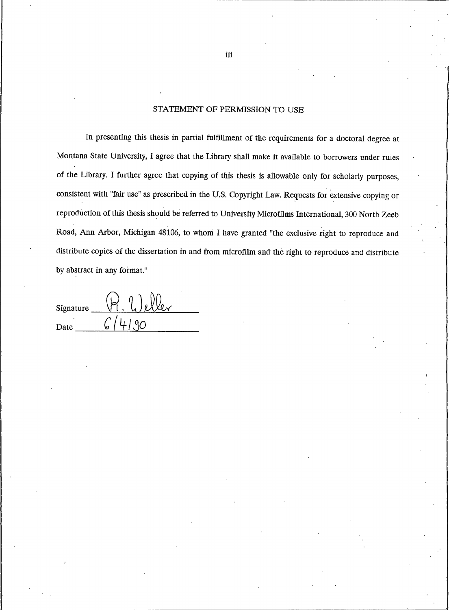### STATEMENT OF PERMISSION TO USE

In presenting this thesis in partial fulfillment of the requirements for a doctoral degree at Montana State University, I agree that the Library shall make it available to borrowers under rules of the Library. I further agree that copying of this thesis is allowable only for scholarly purposes, consistent with "fair use" as prescribed in the U.S. Copyright Law. Requests for extensive copying or reproduction of this thesis should be referred to University Microfilms International, 300 North Zeeb Road, Ann Arbor, Michigan 48106, to whom I have granted "the exclusive right to reproduce and distribute copies of the dissertation in and from microfilm and the right to reproduce and distribute by abstract in any format."

| Signature | $\mathbf{1}_{n}$ |  |
|-----------|------------------|--|
| Date      |                  |  |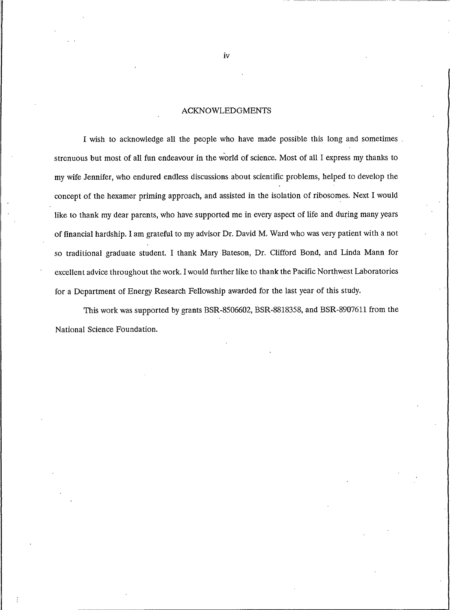#### **ACKNOWLEDGMENTS**

I wish to acknowledge all the people who have made possible this long and sometimes. strenuous but most of all fun endeavour in the world of science. Most of all I express my thanks to my wife Jennifer, who endured endless discussions about scientific problems, helped to develop the concept of the hexamer priming approach, and assisted in the isolation of ribosomes. Next I would like to thank my dear parents, who have supported me in every aspect of life and during many years of financial hardship. I am grateful to my advisor Dr. David M. Ward who was very patient with a not so traditional graduate student. I thank Mary Bateson, Dr. Clifford Bond, and Linda Mann for excellent advice throughout the work. I would further like to thank the Pacific Northwest Laboratories for a Department of Energy Research Fellowship awarded for the last year of this study.

This work was supported by grants BSR-8506602, BSR-8818358, and BSR-8907611 from the National Science Foundation.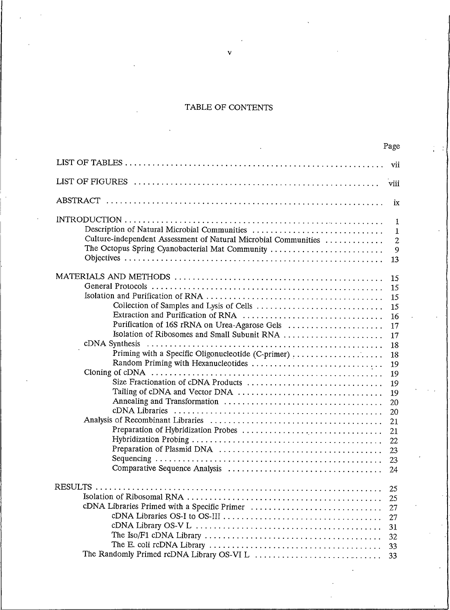## TABLE OF CONTENTS

|                                                                                                                                                                                                                                        | rage                                                                                                                 |
|----------------------------------------------------------------------------------------------------------------------------------------------------------------------------------------------------------------------------------------|----------------------------------------------------------------------------------------------------------------------|
|                                                                                                                                                                                                                                        | vii                                                                                                                  |
|                                                                                                                                                                                                                                        | viii                                                                                                                 |
|                                                                                                                                                                                                                                        | ix                                                                                                                   |
| Description of Natural Microbial Communities<br>Culture-independent Assessment of Natural Microbial Communities<br>The Octopus Spring Cyanobacterial Mat Community                                                                     | 1<br>1<br>$\mathbf{2}$<br>9<br>13                                                                                    |
| Collection of Samples and Lysis of Cells<br>Purification of 16S rRNA on Urea-Agarose Gels<br>Isolation of Ribosomes and Small Subunit RNA<br>Priming with a Specific Oligonucleotide (C-primer)<br>Size Fractionation of cDNA Products | 15<br>15<br>15<br>15<br>16<br>17<br>17<br>18<br>18<br>19<br>19<br>19<br>19<br>20<br>20<br>21<br>21<br>22<br>23<br>23 |
| cDNA Libraries Primed with a Specific Primer                                                                                                                                                                                           | 24<br>25<br>25<br>27<br>27<br>31<br>32<br>33<br>33                                                                   |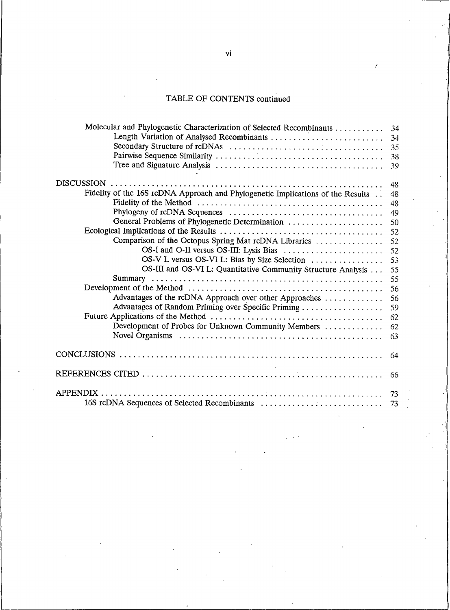#### TABLE OF CONTEN

| Molecular and Phylogenetic Characterization of Selected Recombinants 34              |  |
|--------------------------------------------------------------------------------------|--|
|                                                                                      |  |
|                                                                                      |  |
|                                                                                      |  |
|                                                                                      |  |
| <b>DISCUSSION</b>                                                                    |  |
| Fidelity of the 16S rcDNA Approach and Phylogenetic Implications of the Results . 48 |  |
|                                                                                      |  |
|                                                                                      |  |
|                                                                                      |  |
|                                                                                      |  |
|                                                                                      |  |
|                                                                                      |  |
|                                                                                      |  |
| OS-III and OS-VI L: Quantitative Community Structure Analysis 55                     |  |
|                                                                                      |  |
|                                                                                      |  |
|                                                                                      |  |
|                                                                                      |  |
|                                                                                      |  |
| Development of Probes for Unknown Community Members  62                              |  |
|                                                                                      |  |
|                                                                                      |  |
|                                                                                      |  |
| <b>APPENDIX</b>                                                                      |  |
|                                                                                      |  |

I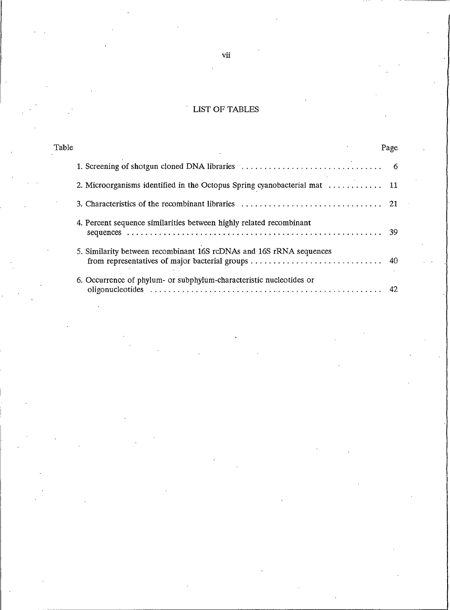# LIST OF TABLES

| Table                                                               | Page |
|---------------------------------------------------------------------|------|
|                                                                     |      |
|                                                                     |      |
|                                                                     |      |
| 4. Percent sequence similarities between highly related recombinant | -39  |
| 5. Similarity between recombinant 16S rcDNAs and 16S rRNA sequences |      |
| 6. Occurrence of phylum- or subphylum-characteristic nucleotides or | 42.  |

 $\rm{vii}$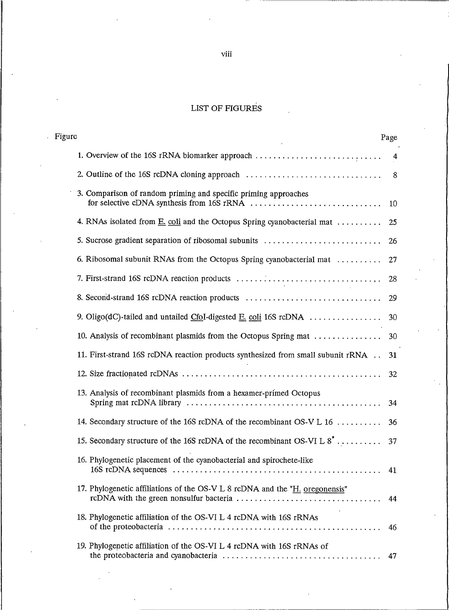### LIST OF F

| Figure |                                                                                     | Page |  |
|--------|-------------------------------------------------------------------------------------|------|--|
|        |                                                                                     |      |  |
|        |                                                                                     |      |  |
|        | 3. Comparison of random priming and specific priming approaches                     |      |  |
|        |                                                                                     |      |  |
|        |                                                                                     |      |  |
|        |                                                                                     |      |  |
|        |                                                                                     |      |  |
|        |                                                                                     |      |  |
|        |                                                                                     |      |  |
|        |                                                                                     |      |  |
|        | 11. First-strand 16S rcDNA reaction products synthesized from small subunit rRNA 31 |      |  |
|        |                                                                                     |      |  |
|        | 13. Analysis of recombinant plasmids from a hexamer-primed Octopus                  |      |  |
|        |                                                                                     |      |  |
|        |                                                                                     |      |  |
|        | 16. Phylogenetic placement of the cyanobacterial and spirochete-like                |      |  |
|        | 17. Phylogenetic affiliations of the OS-V L 8 rcDNA and the "H. oregonensis"        |      |  |
|        | 18. Phylogenetic affiliation of the OS-VI L 4 rcDNA with 16S rRNAs                  |      |  |
|        | 19. Phylogenetic affiliation of the OS-VI L 4 rcDNA with 16S rRNAs of               |      |  |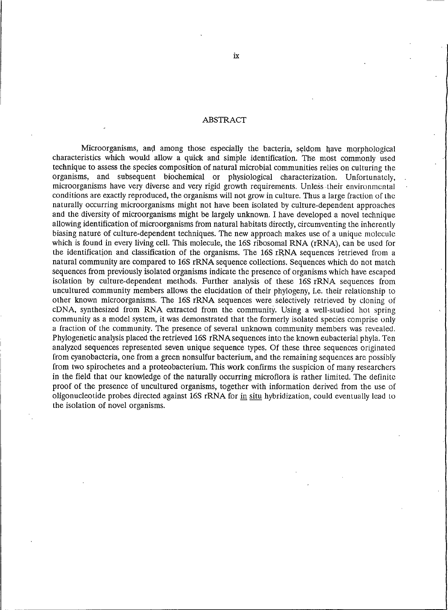### **ABSTRACT**

Microorganisms, and among those especially the bacteria, seldom have morphological characteristics which would allow a quick and simple identification. The most commonly used technique to assess the species composition of natural microbial communities relies on culturing the organisms, and subsequent biochemical or physiological characterization. Unfortunately, microorganisms have very diverse and very rigid growth requirements. Unless their environmental conditions are exactly reproduced, the organisms will not grow in culture. Thus a large fraction of the naturally occurring microorganisms might not have been isolated by culture-dependent approaches and the diversity of microorganisms might be largely unknown. I have developed a novel technique allowing identification of microorganisms from natural habitats directly, circumventing the inherently biasing nature of culture-dependent techniques. The new approach makes use of a unique molecule which is found in every living cell. This molecule, the 16S ribosomal RNA (rRNA), can be used for the identification and classification of the organisms. The 16S rRNA sequences retrieved from a natural community are compared to 16S rRNA sequence collections. Sequences which do not match sequences from previously isolated organisms indicate the presence of organisms which have escaped isolation by culture-dependent methods. Further analysis of these 16S rRNA sequences from uncultured community members allows the elucidation of their phylogeny, i.e. their relationship to other known microorganisms. The 16S rRNA sequences were selectively retrieved by cloning of cDNA, synthesized from RNA extracted from the community. Using a well-studied hot spring community as a model system, it was demonstrated that the formerly isolated species comprise only a fraction of the community. The presence of several unknown community members was revealed. Phylogenetic analysis placed the retrieved 16S rRNA sequences into the known eubacterial phyla. Ten analyzed sequences represented seven unique sequence types. Of these three sequences originated from cyanobacteria, one from a green nonsulfur bacterium, and the remaining sequences are possibly from two spirochetes and a proteobacterium. This work confirms the suspicion of many researchers in the field that our knowledge of the naturally occurring microflora is rather limited. The definite proof of the presence of uncultured organisms, together with information derived from the use of oligonucleotide probes directed against 16S rRNA for in situ hybridization, could eventually lead to the isolation of novel organisms.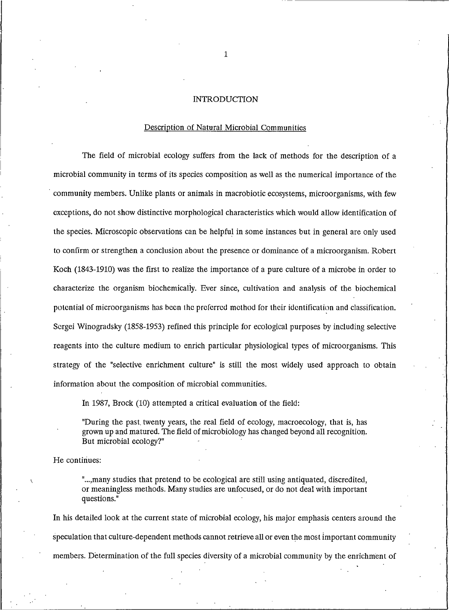### **INTRODUCTION**

#### Description of Natural Microbial Communities

The field of microbial ecology suffers from the lack of methods for the description of a microbial community in terms of its species composition as well as the numerical importance of the community members. Unlike plants or animals in macrobiotic ecosystems, microorganisms, with few exceptions, do not show distinctive morphological characteristics which would allow identification of the species. Microscopic observations can be helpful in some instances but in general are only used to confirm or strengthen a conclusion about the presence or dominance of a microorganism. Robert Koch (1843-1910) was the first to realize the importance of a pure culture of a microbe in order to characterize the organism biochemically. Ever since, cultivation and analysis of the biochemical potential of microorganisms has been the preferred method for their identification and classification. Scrgei Winogradsky (1858-1953) refined this principle for ecological purposes by including selective reagents into the culture medium to enrich particular physiological types of microorganisms. This strategy of the "selective enrichment culture" is still the most widely used approach to obtain information about the composition of microbial communities.

In 1987, Brock (10) attempted a critical evaluation of the field:

"During the past twenty years, the real field of ecology, macroecology, that is, has grown up and matured. The field of microbiology has changed beyond all recognition. But microbial ecology?"

He continues:

"..., many studies that pretend to be ecological are still using antiquated, discredited, or meaningless methods. Many studies are unfocused, or do not deal with important questions."

In his detailed look at the current state of microbial ecology, his major emphasis centers around the speculation that culture-dependent methods cannot retrieve all or even the most important community members. Determination of the full species diversity of a microbial community by the enrichment of

 $\mathbf{1}$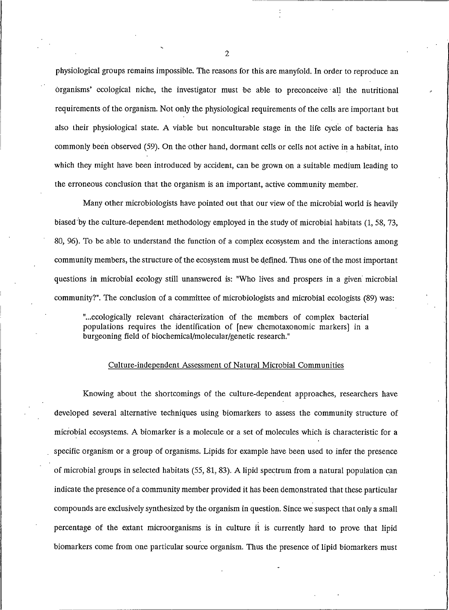physiological groups remains impossible. The reasons for this are manyfold. In order to reproduce an organisms' ecological niche, the investigator must be able to preconceive all the nutritional requirements of the organism. Not only the physiological requirements of the cells are important but also their physiological state. A viable but nonculturable stage in the life cycle of bacteria has commonly been observed (59). On the other hand, dormant cells or cells not active in a habitat, into which they might have been introduced by accident, can be grown on a suitable medium leading to the erroneous conclusion that the organism is an important, active community member.

Many other microbiologists have pointed out that our view of the microbial world is heavily biased by the culture-dependent methodology employed in the study of microbial habitats (1, 58, 73, 80, 96). To be able to understand the function of a complex ecosystem and the interactions among community members, the structure of the ecosystem must be defined. Thus one of the most important questions in microbial ecology still unanswered is: "Who lives and prospers in a given microbial community?". The conclusion of a committee of microbiologists and microbial ecologists (89) was:

"...ecologically relevant characterization of the members of complex bacterial populations requires the identification of [new chemotaxonomic markers] in a burgeoning field of biochemical/molecular/genetic research."

#### Culture-independent Assessment of Natural Microbial Communities

Knowing about the shortcomings of the culture-dependent approaches, researchers have developed several alternative techniques using biomarkers to assess the community structure of microbial ecosystems. A biomarker is a molecule or a set of molecules which is characteristic for a specific organism or a group of organisms. Lipids for example have been used to infer the presence of microbial groups in selected habitats (55, 81, 83). A lipid spectrum from a natural population can indicate the presence of a community member provided it has been demonstrated that these particular compounds are exclusively synthesized by the organism in question. Since we suspect that only a small percentage of the extant microorganisms is in culture it is currently hard to prove that lipid biomarkers come from one particular source organism. Thus the presence of lipid biomarkers must

 $\overline{2}$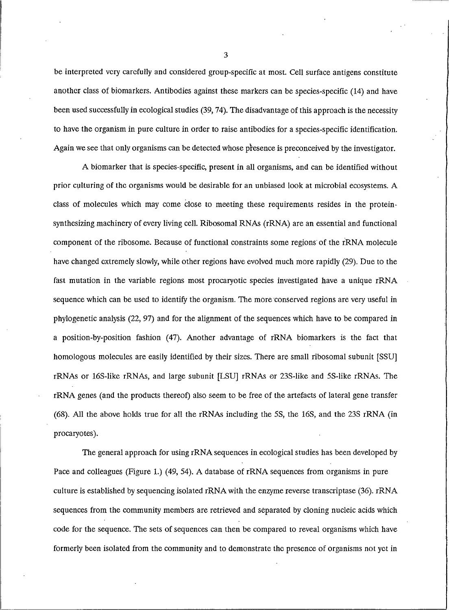be interpreted very carefully and considered group-specific at most. Cell surface antigens constitute another class of biomarkers. Antibodies against these markers can be species-specific (14) and have been used successfully in ecological studies (39, 74). The disadvantage of this approach is the necessity to have the organism in pure culture in order to raise antibodies for a species-specific identification. Again we see that only organisms can be detected whose presence is preconceived by the investigator.

A biomarker that is species-specific, present in all organisms, and can be identified without prior culturing of the organisms would be desirable for an unbiased look at microbial ecosystems. A class of molecules which may come close to meeting these requirements resides in the proteinsynthesizing machinery of every living cell. Ribosomal RNAs (rRNA) are an essential and functional component of the ribosome. Because of functional constraints some regions of the rRNA molecule have changed extremely slowly, while other regions have evolved much more rapidly (29). Due to the fast mutation in the variable regions most procaryotic species investigated have a unique rRNA sequence which can be used to identify the organism. The more conserved regions are very useful in phylogenetic analysis (22, 97) and for the alignment of the sequences which have to be compared in a position-by-position fashion (47). Another advantage of rRNA biomarkers is the fact that homologous molecules are easily identified by their sizes. There are small ribosomal subunit [SSU] rRNAs or 16S-like rRNAs, and large subunit [LSU] rRNAs or 23S-like and 5S-like rRNAs. The rRNA genes (and the products thereof) also seem to be free of the artefacts of lateral gene transfer (68). All the above holds true for all the rRNAs including the 5S, the 16S, and the 23S rRNA (in procaryotes).

The general approach for using rRNA sequences in ecological studies has been developed by Pace and colleagues (Figure 1.) (49, 54). A database of rRNA sequences from organisms in pure culture is established by sequencing isolated rRNA with the enzyme reverse transcriptase (36). rRNA sequences from the community members are retrieved and separated by cloning nucleic acids which code for the sequence. The sets of sequences can then be compared to reveal organisms which have formerly been isolated from the community and to demonstrate the presence of organisms not yet in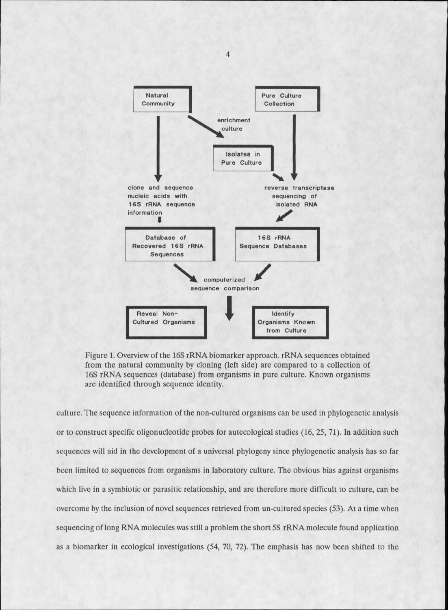

Figure 1. Overview of the 16S rRNA biomarker approach. rRNA sequences obtained from the natural community by cloning (left side) are compared to a collection of 16S rRNA sequences (database) from organisms in pure culture. Known organisms are identified through sequence identity.

culture. The sequence information of the non-cultured organisms can be used in phylogenetic analysis or to construct specific oligonucleotide probes for autecological studies (16, 25, 71). In addition such sequences will aid in the development of a universal phylogeny since phylogenetic analysis has so far been limited to sequences from organisms in laboratory culture. The obvious bias against organisms which live in a symbiotic or parasitic relationship, and are therefore more difficult to culture, can be overcome by the inclusion of novel sequences retrieved from un-cultured species (53). At a time when sequencing of long RNA molecules was still a problem the short 5S rRNA molecule found application as a biomarker in ecological investigations (54, 70, 72). The emphasis has now been shifted to the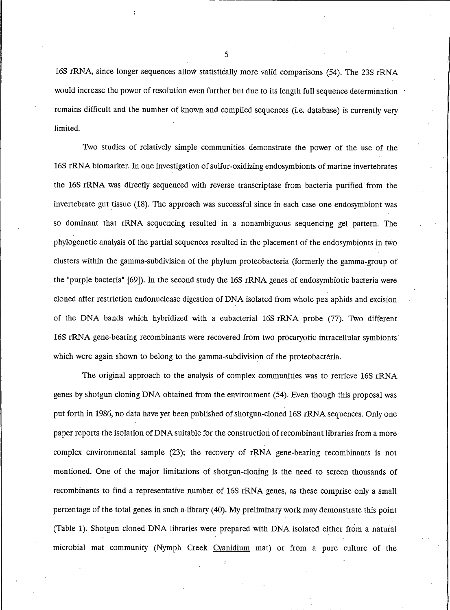16S rRNA, since longer sequences allow statistically more valid comparisons (54). The 23S rRNA would increase the power of resolution even further but due to its length full sequence determination remains difficult and the number of known and compiled sequences (i.e. database) is currently very limited.

Two studies of relatively simple communities demonstrate the power of the use of the 16S rRNA biomarker. In one investigation of sulfur-oxidizing endosymbionts of marine invertebrates the 16S rRNA was directly sequenced with reverse transcriptase from bacteria purified from the invertebrate gut tissue (18). The approach was successful since in each case one endosymbiont was so dominant that rRNA sequencing resulted in a nonambiguous sequencing gel pattern. The phylogenetic analysis of the partial sequences resulted in the placement of the endosymbionts in two clusters within the gamma-subdivision of the phylum proteobacteria (formerly the gamma-group of the "purple bacteria" [69]). In the second study the 16S rRNA genes of endosymbiotic bacteria were cloned after restriction endonuclease digestion of DNA isolated from whole pea aphids and excision of the DNA bands which hybridized with a eubacterial 16S rRNA probe (77). Two different 16S rRNA gene-bearing recombinants were recovered from two procaryotic intracellular symbionts which were again shown to belong to the gamma-subdivision of the proteobacteria.

The original approach to the analysis of complex communities was to retrieve 16S rRNA genes by shotgun cloning DNA obtained from the environment (54). Even though this proposal was put forth in 1986, no data have yet been published of shotgun-cloned 16S rRNA sequences. Only one paper reports the isolation of DNA suitable for the construction of recombinant libraries from a more complex environmental sample (23); the recovery of rRNA gene-bearing recombinants is not mentioned. One of the major limitations of shotgun-cloning is the need to screen thousands of recombinants to find a representative number of 16S rRNA genes, as these comprise only a small percentage of the total genes in such a library (40). My preliminary work may demonstrate this point (Table 1). Shotgun cloned DNA libraries were prepared with DNA isolated either from a natural microbial mat community (Nymph Creek Cyanidium mat) or from a pure culture of the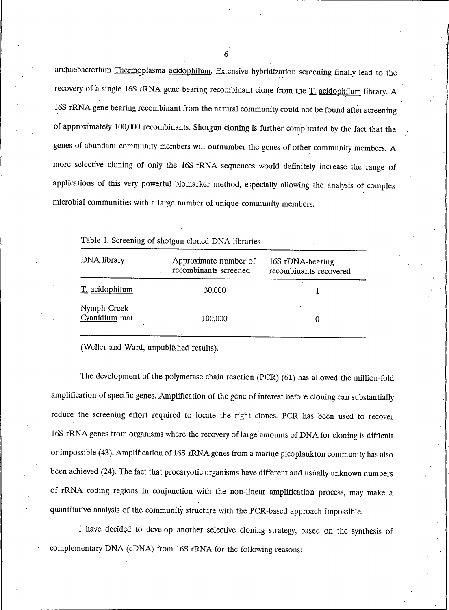archaebacterium Thermoplasma acidophilum. Extensive hybridization screening finally lead to the recovery of a single 16S rRNA gene bearing recombinant clone from the T. acidophilum library. A 16S rRNA gene bearing recombinant from the natural community could not be found after screening of approximately 100,000 recombinants. Shotgun cloning is further complicated by the fact that the genes of abundant community members will outnumber the genes of other community members. A more selective cloning of only the 16S rRNA sequences would definitely increase the range of applications of this very powerful biomarker method, especially allowing the analysis of complex microbial communities with a large number of unique community members.

| DNA library                  | Approximate number of<br>recombinants screened | 16S rDNA-bearing<br>recombinants recovered |
|------------------------------|------------------------------------------------|--------------------------------------------|
| T. acidophilum               | 30,000                                         |                                            |
| Nymph Creek<br>Cyanidium mat | 100,000                                        |                                            |

Table 1. Screening of shotgun cloned DNA libraries

(Weller and Ward, unpublished results).

The development of the polymerase chain reaction (PCR) (61) has allowed the million-fold amplification of specific genes. Amplification of the gene of interest before cloning can substantially reduce the screening effort required to locate the right clones. PCR has been used to recover 16S rRNA genes from organisms where the recovery of large amounts of DNA for cloning is difficult or impossible (43). Amplification of 16S rRNA genes from a marine picoplankton community has also been achieved (24). The fact that procaryotic organisms have different and usually unknown numbers of rRNA coding regions in conjunction with the non-linear amplification process, may make a quantitative analysis of the community structure with the PCR-based approach impossible.

I have decided to develop another selective cloning strategy, based on the synthesis of complementary DNA (cDNA) from 16S rRNA for the following reasons: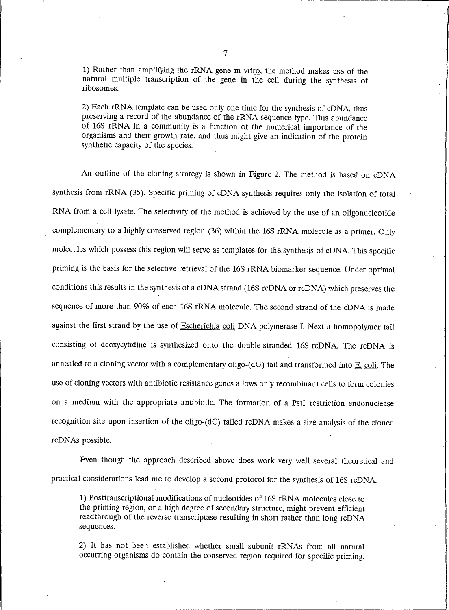1) Rather than amplifying the rRNA gene in vitro, the method makes use of the natural multiple transcription of the gene in the cell during the synthesis of ribosomes.

2) Each rRNA template can be used only one time for the synthesis of cDNA, thus preserving a record of the abundance of the rRNA sequence type. This abundance of 16S rRNA in a community is a function of the numerical importance of the organisms and their growth rate, and thus might give an indication of the protein synthetic capacity of the species.

An outline of the cloning strategy is shown in Figure 2. The method is based on cDNA synthesis from rRNA (35). Specific priming of cDNA synthesis requires only the isolation of total RNA from a cell lysate. The selectivity of the method is achieved by the use of an oligonucleotide complementary to a highly conserved region (36) within the 16S rRNA molecule as a primer. Only molecules which possess this region will serve as templates for the synthesis of cDNA. This specific priming is the basis for the selective retrieval of the 16S rRNA biomarker sequence. Under optimal conditions this results in the synthesis of a cDNA strand (16S rcDNA or rcDNA) which preserves the sequence of more than 90% of each 16S rRNA molecule. The second strand of the cDNA is made against the first strand by the use of Escherichia coli DNA polymerase I. Next a homopolymer tail consisting of deoxycytidine is synthesized onto the double-stranded 16S rcDNA. The rcDNA is annealed to a cloning vector with a complementary oligo-(dG) tail and transformed into E. coli. The use of cloning vectors with antibiotic resistance genes allows only recombinant cells to form colonies on a medium with the appropriate antibiotic. The formation of a PstI restriction endonuclease recognition site upon insertion of the oligo-(dC) tailed rcDNA makes a size analysis of the cloned rcDNAs possible.

Even though the approach described above does work very well several theoretical and practical considerations lead me to develop a second protocol for the synthesis of 16S rcDNA.

1) Posttranscriptional modifications of nucleotides of 16S rRNA molecules close to the priming region, or a high degree of secondary structure, might prevent efficient readthrough of the reverse transcriptase resulting in short rather than long rcDNA sequences.

2) It has not been established whether small subunit rRNAs from all natural occurring organisms do contain the conserved region required for specific priming.

 $\overline{7}$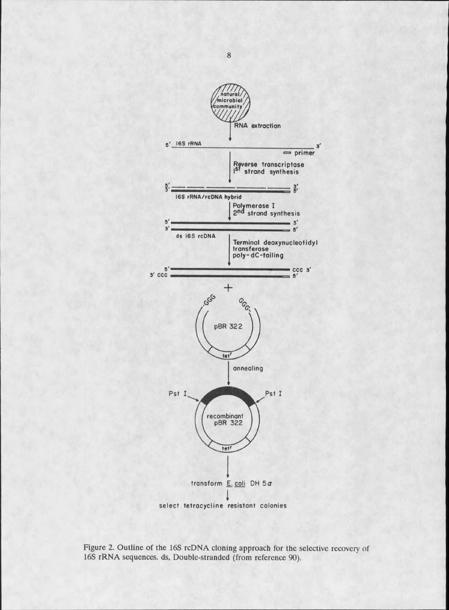

Figure 2. Outline of the 16S rcDNA cloning approach for the selective recovery of 16S rRNA sequences. ds, Double-stranded (from reference 90).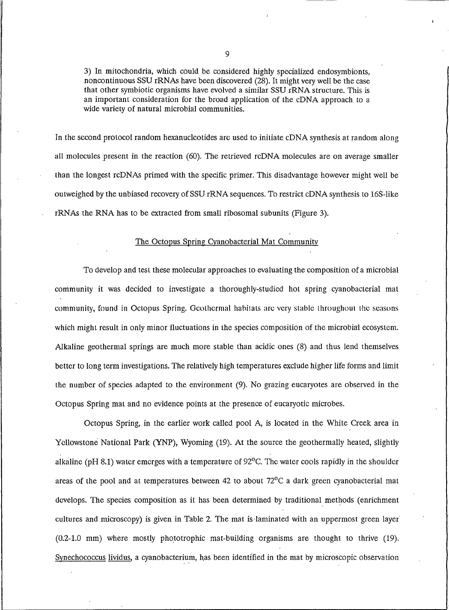3) In mitochondria, which could be considered highly specialized endosymbionts, noncontinuous SSU rRNAs have been discovered (28). It might very well be the case that other symbiotic organisms have evolved a similar SSU rRNA structure. This is an important consideration for the broad application of the cDNA approach to a wide variety of natural microbial communities.

In the second protocol random hexanucleotides are used to initiate cDNA synthesis at random along all molecules present in the reaction (60). The retrieved rcDNA molecules are on average smaller than the longest rcDNAs primed with the specific primer. This disadvantage however might well be outweighed by the unbiased recovery of SSU rRNA sequences. To restrict cDNA synthesis to 16S-like rRNAs the RNA has to be extracted from small ribosomal subunits (Figure 3).

#### The Octopus Spring Cyanobacterial Mat Community

To develop and test these molecular approaches to evaluating the composition of a microbial community it was decided to investigate a thoroughly-studied hot spring cyanobacterial mat community, found in Octopus Spring. Geothermal habitats are very stable throughout the seasons which might result in only minor fluctuations in the species composition of the microbial ecosystem. Alkaline geothermal springs are much more stable than acidic ones (8) and thus lend themselves better to long term investigations. The relatively high temperatures exclude higher life forms and limit the number of species adapted to the environment (9). No grazing eucaryotes are observed in the Octopus Spring mat and no evidence points at the presence of eucaryotic microbes.

Octopus Spring, in the earlier work called pool A, is located in the White Creek area in Yellowstone National Park (YNP), Wyoming (19). At the source the geothermally heated, slightly alkaline ( $pH 8.1$ ) water emerges with a temperature of 92 $^{\circ}$ C. The water cools rapidly in the shoulder areas of the pool and at temperatures between 42 to about  $72^{\circ}$ C a dark green cyanobacterial mat develops. The species composition as it has been determined by traditional methods (enrichment cultures and microscopy) is given in Table 2. The mat is laminated with an uppermost green layer (0.2-1.0 mm) where mostly phototrophic mat-building organisms are thought to thrive (19). Synechococcus lividus, a cyanobacterium, has been identified in the mat by microscopic observation

 $\mathbf{Q}$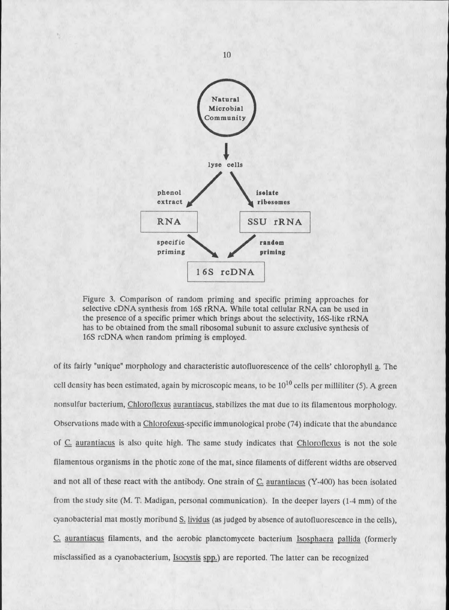

Figure 3. Comparison of random priming and specific priming approaches for selective cDNA synthesis from 16S rRNA. While total cellular RNA can be used in the presence of a specific primer which brings about the selectivity, 16S-like rRNA has to be obtained from the small ribosomal subunit to assure exclusive synthesis of 16S rcDNA when random priming is employed.

of its fairly "unique" morphology and characteristic autofluorescence of the cells' chlorophyll a. The cell density has been estimated, again by microscopic means, to be  $10^{10}$  cells per milliliter (5). A green nonsulfur bacterium, Chloroflexus aurantiacus, stabilizes the mat due to its filamentous morphology. Observations made with a Chlorofexus-specific immunological probe (74) indicate that the abundance of C. aurantiacus is also quite high. The same study indicates that Chloroflexus is not the sole filamentous organisms in the photic zone of the mat, since filaments of different widths are observed and not all of these react with the antibody. One strain of C. aurantiacus (Y-400) has been isolated from the study site (M. T. Madigan, personal communication). In the deeper layers (1-4 mm) of the cyanobacterial mat mostly moribund S. lividus (as judged by absence of autofluorescence in the cells), C. aurantiacus filaments, and the aerobic planctomycete bacterium Isosphaera pallida (formerly misclassified as a cyanobacterium, Isocystis spp.) are reported. The latter can be recognized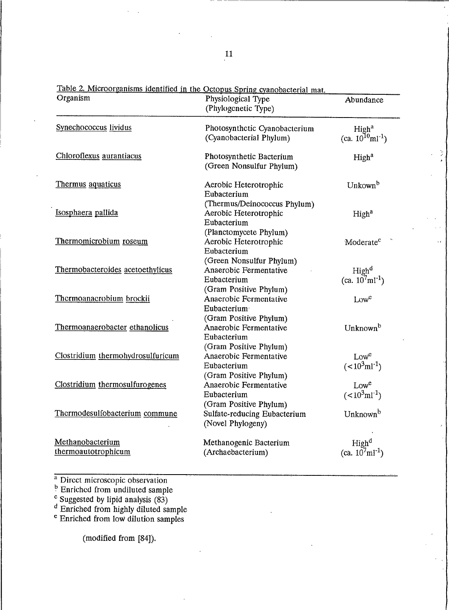| Organism                                | <u>Table 2. Microofganisms facintined in the Octopus Spring evanopacterial</u> mat.<br>Physiological Type<br>(Phylogenetic Type) | Abundance                                              |  |
|-----------------------------------------|----------------------------------------------------------------------------------------------------------------------------------|--------------------------------------------------------|--|
| Synechococcus lividus                   | Photosynthetic Cyanobacterium<br>(Cyanobacterial Phylum)                                                                         | High <sup>a</sup><br>(ca. $10^{10}$ ml <sup>-1</sup> ) |  |
| Chloroflexus aurantiacus                | Photosynthetic Bacterium<br>(Green Nonsulfur Phylum)                                                                             | High <sup>a</sup>                                      |  |
| Thermus aquaticus                       | Aerobic Heterotrophic<br>Eubacterium                                                                                             | Unkown <sup>b</sup>                                    |  |
| Isosphaera pallida                      | (Thermus/Deinococcus Phylum)<br>Aerobic Heterotrophic<br>Eubacterium                                                             | High <sup>a</sup>                                      |  |
| Thermomicrobium roseum                  | (Planctomycete Phylum)<br>Aerobic Heterotrophic<br>Eubacterium                                                                   | Moderate <sup>c</sup>                                  |  |
| Thermobacteroides acetoethylicus        | (Green Nonsulfur Phylum)<br>Anaerobic Fermentative<br>Eubacterium                                                                | High <sup>d</sup><br>$(ca. 10^7 \text{ml}^{-1})$       |  |
| Thermoanaerobium brockii                | (Gram Positive Phylum)<br><b>Anacrobic Fermentative</b><br>Eubacterium                                                           | Low <sup>e</sup>                                       |  |
| Thermoanaerobacter ethanolicus          | (Gram Positive Phylum)<br>Anaerobic Fermentative<br>Eubacterium                                                                  | Unknown <sup>b</sup>                                   |  |
| Clostridium thermohydrosulfuricum       | (Gram Positive Phylum)<br>Anaerobic Fermentative<br>Eubacterium                                                                  | Low <sup>e</sup><br>$(<10^3$ ml <sup>-1</sup> )        |  |
| Clostridium thermosulfurogenes          | (Gram Positive Phylum)<br>Anaerobic Fermentative<br>Eubacterium                                                                  | Lowe<br>$(<10^3$ ml <sup>-1</sup> )                    |  |
| Thermodesulfobacterium commune          | (Gram Positive Phylum)<br>Sulfate-reducing Eubacterium<br>(Novel Phylogeny)                                                      | Unknown <sup>b</sup>                                   |  |
| Methanobacterium<br>thermoautotrophicum | Methanogenic Bacterium<br>(Archaebacterium)                                                                                      | High <sup>d</sup><br>(ca. $10^{7}$ ml <sup>-1</sup> )  |  |

Table 2 Microorganisms identified in the Octon:

- 
- 

<sup>a</sup> Direct microscopic observation<br><sup>b</sup> Enriched from undiluted sample<br>c Suggested by lipid analysis (83)<br>d Enriched from highly diluted sample<br>e Enriched from low dilution samples

(modified from [84]).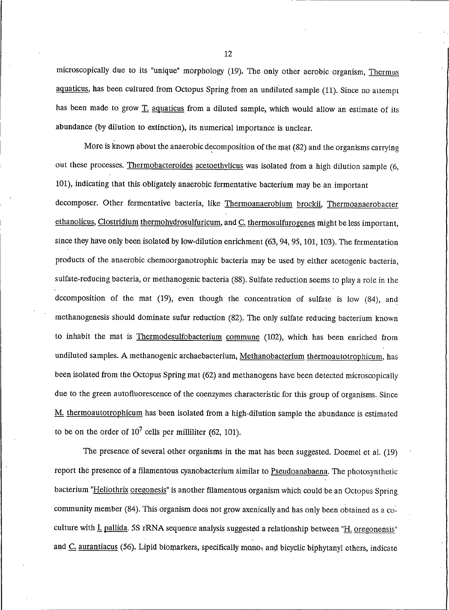microscopically due to its "unique" morphology (19). The only other aerobic organism, Thermus aquaticus, has been cultured from Octopus Spring from an undiluted sample (11). Since no attempt has been made to grow T. aquaticus from a diluted sample, which would allow an estimate of its abundance (by dilution to extinction), its numerical importance is unclear.

More is known about the anaerobic decomposition of the mat (82) and the organisms carrying out these processes. Thermobacteroides acetoethylicus was isolated from a high dilution sample (6, 101), indicating that this obligately anaerobic fermentative bacterium may be an important decomposer. Other fermentative bacteria, like Thermoanaerobium brockii, Thermoanaerobacter ethanolicus, Clostridium thermohydrosulfuricum, and C. thermosulfurogenes might be less important, since they have only been isolated by low-dilution enrichment (63, 94, 95, 101, 103). The fermentation products of the anaerobic chemoorganotrophic bacteria may be used by either acetogenic bacteria, sulfate-reducing bacteria, or methanogenic bacteria (88). Sulfate reduction seems to play a role in the decomposition of the mat  $(19)$ , even though the concentration of sulfate is low  $(84)$ , and methanogenesis should dominate sufur reduction (82). The only sulfate reducing bacterium known to inhabit the mat is Thermodesulfobacterium commune (102), which has been enriched from undiluted samples. A methanogenic archaebacterium, Methanobacterium thermoautotrophicum, has been isolated from the Octopus Spring mat (62) and methanogens have been detected microscopically due to the green autofluorescence of the coenzymes characteristic for this group of organisms. Since M. thermoautotrophicum has been isolated from a high-dilution sample the abundance is estimated to be on the order of  $10^7$  cells per milliliter (62, 101).

The presence of several other organisms in the mat has been suggested. Doemel et al. (19) report the presence of a filamentous cyanobacterium similar to Pseudoanabaena. The photosynthetic bacterium "Heliothrix oregonesis" is another filamentous organism which could be an Octopus Spring community member (84). This organism does not grow axenically and has only been obtained as a coculture with I. pallida. 5S rRNA sequence analysis suggested a relationship between "H. oregonensis" and C. aurantiacus (56). Lipid biomarkers, specifically mono<sub>r</sub> and bicyclic biphytanyl ethers, indicate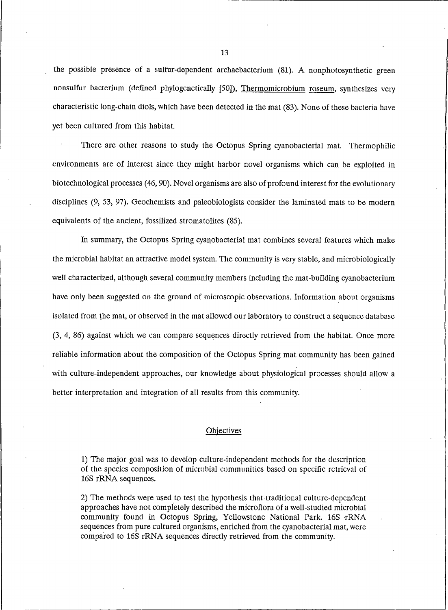the possible presence of a sulfur-dependent archaebacterium (81). A nonphotosynthetic green nonsulfur bacterium (defined phylogenetically [50]), Thermomicrobium roseum, synthesizes very characteristic long-chain diols, which have been detected in the mat (83). None of these bacteria have yet been cultured from this habitat.

There are other reasons to study the Octopus Spring cyanobacterial mat. Thermophilic environments are of interest since they might harbor novel organisms which can be exploited in biotechnological processes (46, 90). Novel organisms are also of profound interest for the evolutionary disciplines (9, 53, 97). Geochemists and paleobiologists consider the laminated mats to be modern equivalents of the ancient, fossilized stromatolites (85).

In summary, the Octopus Spring cyanobacterial mat combines several features which make the microbial habitat an attractive model system. The community is very stable, and microbiologically well characterized, although several community members including the mat-building cyanobacterium have only been suggested on the ground of microscopic observations. Information about organisms isolated from the mat, or observed in the mat allowed our laboratory to construct a sequence database (3, 4, 86) against which we can compare sequences directly retrieved from the habitat. Once more reliable information about the composition of the Octopus Spring mat community has been gained with culture-independent approaches, our knowledge about physiological processes should allow a better interpretation and integration of all results from this community.

#### Objectives

1) The major goal was to develop culture-independent methods for the description of the species composition of microbial communities based on specific retrieval of 16S rRNA sequences.

2) The methods were used to test the hypothesis that traditional culture-dependent approaches have not completely described the microflora of a well-studied microbial community found in Octopus Spring, Yellowstone National Park. 16S rRNA sequences from pure cultured organisms, enriched from the cyanobacterial mat, were compared to 16S rRNA sequences directly retrieved from the community.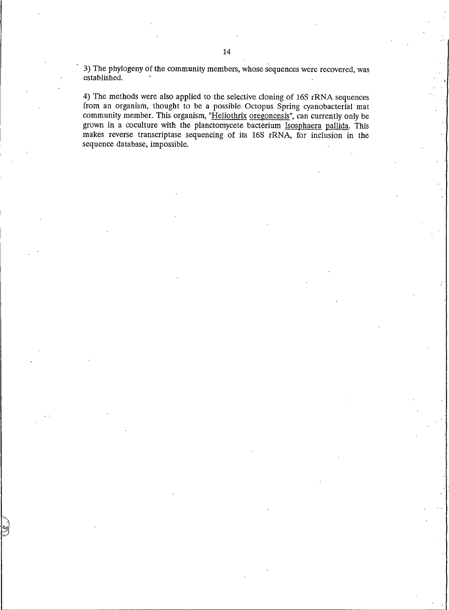3) The phylogeny of the community members, whose sequences were recovered, was established.

4) The methods were also applied to the selective cloning of 16S rRNA sequences from an organism, thought to be a possible Octopus Spring cyanobacterial mat community member. This organism, "Heliothrix oregonensis", can currently only be grown in a coculture with the planctomycete bacterium Isosphaera pallida. This makes reverse transcriptase sequencing of its 16S rRNA, for inclusion in the sequence database, impossible.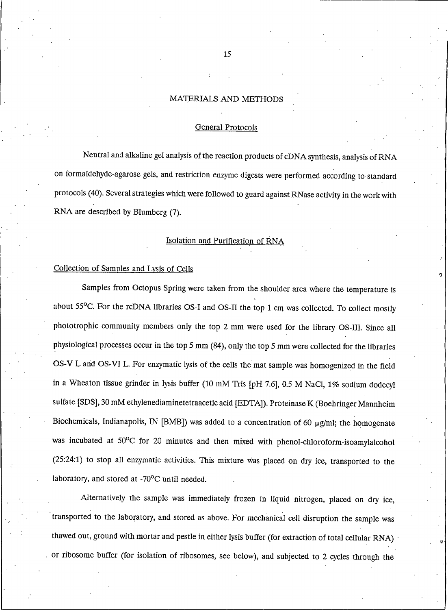### MATERIALS AND METHODS

#### **General Protocols**

Neutral and alkaline gel analysis of the reaction products of cDNA synthesis, analysis of RNA on formaldehyde-agarose gels, and restriction enzyme digests were performed according to standard protocols (40). Several strategies which were followed to guard against RNase activity in the work with RNA are described by Blumberg (7).

#### Isolation and Purification of RNA

#### Collection of Samples and Lysis of Cells

Samples from Octopus Spring were taken from the shoulder area where the temperature is about 55°C. For the rcDNA libraries OS-I and OS-II the top 1 cm was collected. To collect mostly phototrophic community members only the top 2 mm were used for the library OS-III. Since all physiological processes occur in the top  $5 \text{ mm}$  (84), only the top  $5 \text{ mm}$  were collected for the libraries OS-V L and OS-VI L. For enzymatic lysis of the cells the mat sample was homogenized in the field in a Wheaton tissue grinder in lysis buffer (10 mM Tris [pH 7.6], 0.5 M NaCl, 1% sodium dodecyl sulfate [SDS], 30 mM ethylenediaminetetraacetic acid [EDTA]). Proteinase K (Boehringer Mannheim Biochemicals, Indianapolis, IN [BMB]) was added to a concentration of 60  $\mu$ g/ml; the homogenate was incubated at 50°C for 20 minutes and then mixed with phenol-chloroform-isoamylalcohol (25:24:1) to stop all enzymatic activities. This mixture was placed on dry ice, transported to the laboratory, and stored at -70°C until needed.

Alternatively the sample was immediately frozen in liquid nitrogen, placed on dry ice, transported to the laboratory, and stored as above. For mechanical cell disruption the sample was thawed out, ground with mortar and pestle in either lysis buffer (for extraction of total cellular RNA) or ribosome buffer (for isolation of ribosomes, see below), and subjected to 2 cycles through the